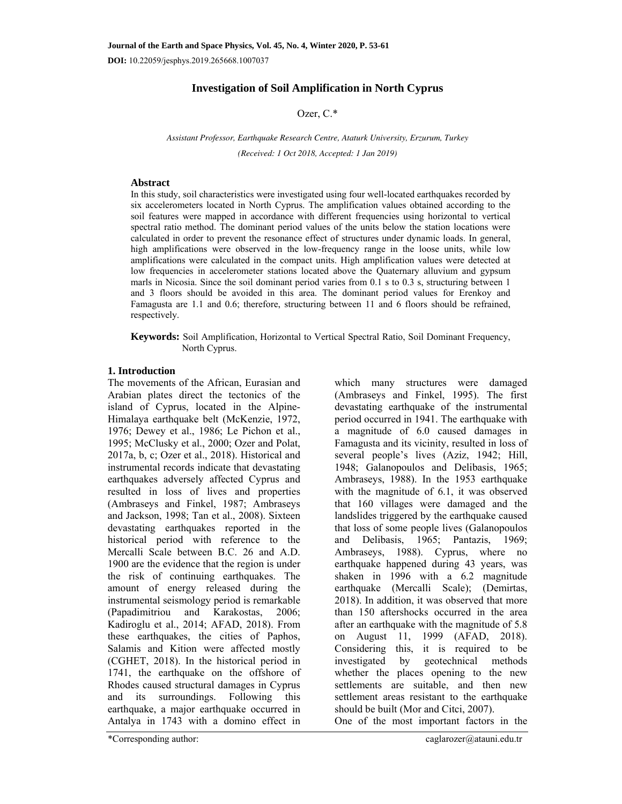**DOI:** 10.22059/jesphys.2019.265668.1007037

# **Investigation of Soil Amplification in North Cyprus**

## Ozer, C.\*

*Assistant Professor, Earthquake Research Centre, Ataturk University, Erzurum, Turkey (Received: 1 Oct 2018, Accepted: 1 Jan 2019)* 

## **Abstract**

In this study, soil characteristics were investigated using four well-located earthquakes recorded by six accelerometers located in North Cyprus. The amplification values obtained according to the soil features were mapped in accordance with different frequencies using horizontal to vertical spectral ratio method. The dominant period values of the units below the station locations were calculated in order to prevent the resonance effect of structures under dynamic loads. In general, high amplifications were observed in the low-frequency range in the loose units, while low amplifications were calculated in the compact units. High amplification values were detected at low frequencies in accelerometer stations located above the Quaternary alluvium and gypsum marls in Nicosia. Since the soil dominant period varies from 0.1 s to 0.3 s, structuring between 1 and 3 floors should be avoided in this area. The dominant period values for Erenkoy and Famagusta are 1.1 and 0.6; therefore, structuring between 11 and 6 floors should be refrained, respectively.

**Keywords:** Soil Amplification, Horizontal to Vertical Spectral Ratio, Soil Dominant Frequency, North Cyprus.

## **1. Introduction**

The movements of the African, Eurasian and Arabian plates direct the tectonics of the island of Cyprus, located in the Alpine-Himalaya earthquake belt (McKenzie, 1972, 1976; Dewey et al., 1986; Le Pichon et al., 1995; McClusky et al., 2000; Ozer and Polat, 2017a, b, c; Ozer et al., 2018). Historical and instrumental records indicate that devastating earthquakes adversely affected Cyprus and resulted in loss of lives and properties (Ambraseys and Finkel, 1987; Ambraseys and Jackson, 1998; Tan et al., 2008). Sixteen devastating earthquakes reported in the historical period with reference to the Mercalli Scale between B.C. 26 and A.D. 1900 are the evidence that the region is under the risk of continuing earthquakes. The amount of energy released during the instrumental seismology period is remarkable (Papadimitriou and Karakostas, 2006; Kadiroglu et al., 2014; AFAD, 2018). From these earthquakes, the cities of Paphos, Salamis and Kition were affected mostly (CGHET, 2018). In the historical period in 1741, the earthquake on the offshore of Rhodes caused structural damages in Cyprus and its surroundings. Following this earthquake, a major earthquake occurred in Antalya in 1743 with a domino effect in

which many structures were damaged (Ambraseys and Finkel, 1995). The first devastating earthquake of the instrumental period occurred in 1941. The earthquake with a magnitude of 6.0 caused damages in Famagusta and its vicinity, resulted in loss of several people's lives (Aziz, 1942; Hill, 1948; Galanopoulos and Delibasis, 1965; Ambraseys, 1988). In the 1953 earthquake with the magnitude of 6.1, it was observed that 160 villages were damaged and the landslides triggered by the earthquake caused that loss of some people lives (Galanopoulos and Delibasis, 1965; Pantazis, 1969; Ambraseys, 1988). Cyprus, where no earthquake happened during 43 years, was shaken in 1996 with a 6.2 magnitude earthquake (Mercalli Scale); (Demirtas, 2018). In addition, it was observed that more than 150 aftershocks occurred in the area after an earthquake with the magnitude of 5.8 on August 11, 1999 (AFAD, 2018). Considering this, it is required to be investigated by geotechnical methods whether the places opening to the new settlements are suitable, and then new settlement areas resistant to the earthquake should be built (Mor and Citci, 2007). One of the most important factors in the

\*Corresponding author: caglarozer@atauni.edu.tr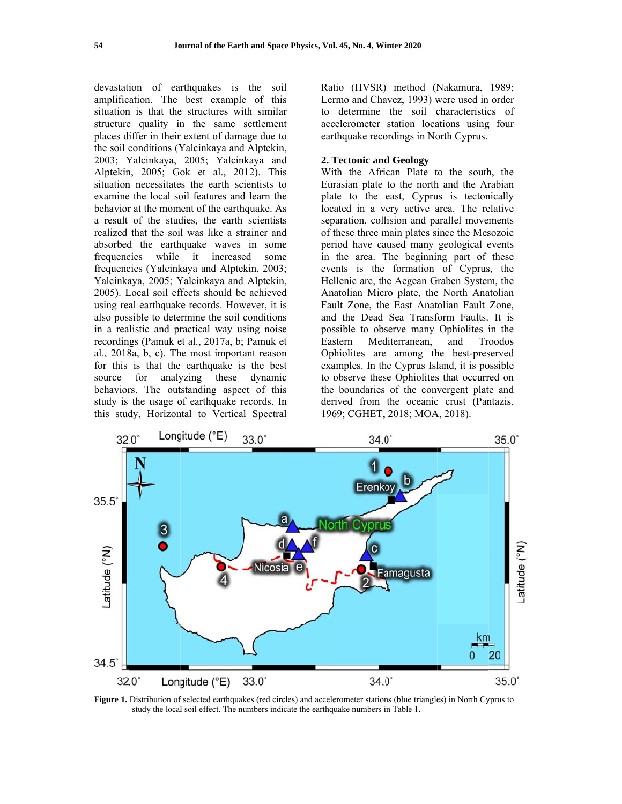devastation of earthquakes is the soil amplification. The best example of this situation is that the structures with similar structure quality in the same settlement places differ in their extent of damage due to the soil conditions (Yalcinkaya and Alptekin, 2003; Yalcinkaya, 2005; Yalcinkaya and Alptekin, 2005; Gok et al., 2012). This situation necessitates the earth scientists to examine the local soil features and learn the behavior at the moment of the earthquake. As a result of the studies, the earth scientists realized that the soil was like a strainer and absorbed the earthquake waves in some while it increased frequencies some frequencies (Yalcinkaya and Alptekin, 2003; Yalcinkaya, 2005; Yalcinkaya and Alptekin, 2005). Local soil effects should be achieved using real earthquake records. However, it is also possible to determine the soil conditions in a realistic and practical way using noise recordings (Pamuk et al., 2017a, b; Pamuk et al., 2018a, b, c). The most important reason for this is that the earthquake is the best source for analyzing these dynamic behaviors. The outstanding aspect of this study is the usage of earthquake records. In this study, Horizontal to Vertical Spectral

Ratio (HVSR) method (Nakamura, 1989; Lermo and Chavez, 1993) were used in order to determine the soil characteristics of accelerometer station locations using four earthquake recordings in North Cyprus.

#### 2. Tectonic and Geology

With the African Plate to the south, the Eurasian plate to the north and the Arabian plate to the east, Cyprus is tectonically located in a very active area. The relative separation, collision and parallel movements of these three main plates since the Mesozoic period have caused many geological events in the area. The beginning part of these events is the formation of Cyprus, the Hellenic arc, the Aegean Graben System, the Anatolian Micro plate, the North Anatolian Fault Zone, the East Anatolian Fault Zone, and the Dead Sea Transform Faults. It is possible to observe many Ophiolites in the Eastern Mediterranean, and Troodos Ophiolites are among the best-preserved examples. In the Cyprus Island, it is possible to observe these Ophiolites that occurred on the boundaries of the convergent plate and derived from the oceanic crust (Pantazis, 1969; CGHET, 2018; MOA, 2018).



Figure 1. Distribution of selected earthquakes (red circles) and accelerometer stations (blue triangles) in North Cyprus to study the local soil effect. The numbers indicate the earthquake numbers in Table 1.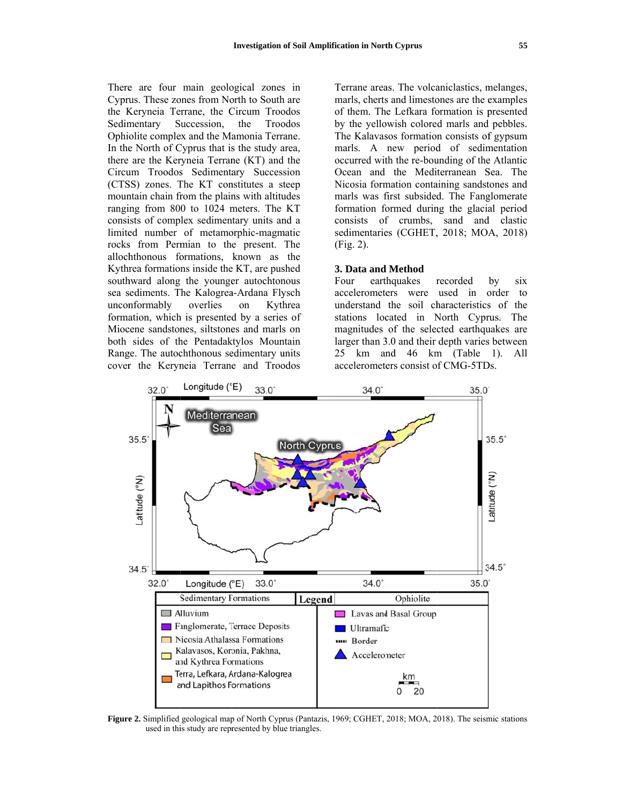There are four main geological zones in Cyprus. These zones from North to South are the Keryneia Terrane, the Circum Troodos Sedimentary Succession, the Troodos Ophiolite complex and the Mamonia Terrane. In the North of Cyprus that is the study area, there are the Keryneia Terrane (KT) and the Circum Troodos Sedimentary Succession (CTSS) zones. The KT constitutes a steep mountain chain from the plains with altitudes ranging from 800 to 1024 meters. The KT consists of complex sedimentary units and a limited number of metamorphic-magmatic rocks from Permian to the present. The allochthonous formations, known as the Kythrea formations inside the KT, are pushed southward along the younger autochtonous sea sediments. The Kalogrea-Ardana Flysch unconformably overlies on Kythrea formation, which is presented by a series of Miocene sandstones, siltstones and marls on both sides of the Pentadaktylos Mountain Range. The autochthonous sedimentary units cover the Keryneia Terrane and Troodos

Terrane areas. The volcaniclastics, melanges, marls, cherts and limestones are the examples of them. The Lefkara formation is presented by the yellowish colored marls and pebbles. The Kalavasos formation consists of gypsum marls. A new period of sedimentation occurred with the re-bounding of the Atlantic Ocean and the Mediterranean Sea. The Nicosia formation containing sandstones and marls was first subsided. The Fanglomerate formation formed during the glacial period consists of crumbs, sand and clastic sedimentaries (CGHET, 2018; MOA, 2018)  $(Fig. 2)$ .

#### 3. Data and Method

Four earthquakes recorded by six accelerometers were used in order to understand the soil characteristics of the stations located in North Cyprus. The magnitudes of the selected earthquakes are larger than 3.0 and their depth varies between 25 km and 46 km (Table 1). All accelerometers consist of CMG-5TDs.



Figure 2. Simplified geological map of North Cyprus (Pantazis, 1969; CGHET, 2018; MOA, 2018). The seismic stations used in this study are represented by blue triangles.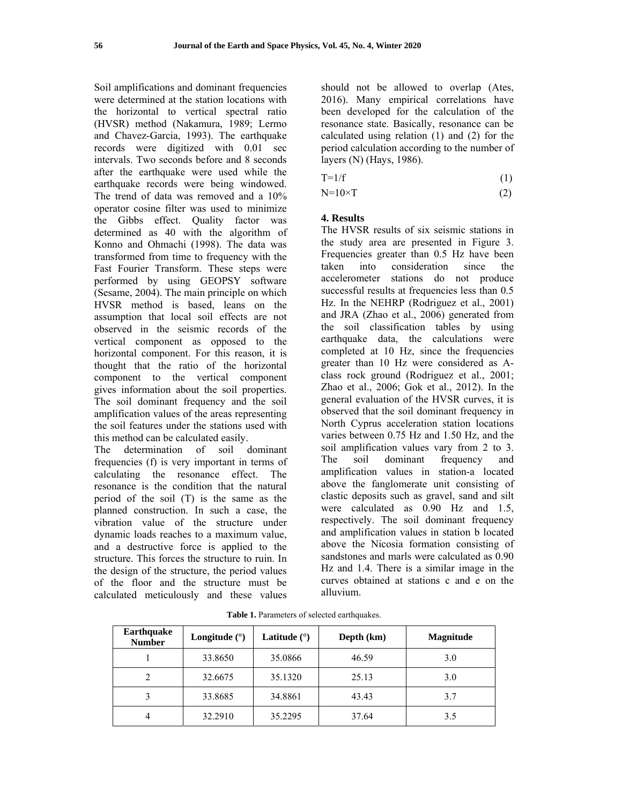Soil amplifications and dominant frequencies were determined at the station locations with the horizontal to vertical spectral ratio (HVSR) method (Nakamura, 1989; Lermo and Chavez-Garcia, 1993). The earthquake records were digitized with 0.01 sec intervals. Two seconds before and 8 seconds after the earthquake were used while the earthquake records were being windowed. The trend of data was removed and a 10% operator cosine filter was used to minimize the Gibbs effect. Quality factor was determined as 40 with the algorithm of Konno and Ohmachi (1998). The data was transformed from time to frequency with the Fast Fourier Transform. These steps were performed by using GEOPSY software (Sesame, 2004). The main principle on which HVSR method is based, leans on the assumption that local soil effects are not observed in the seismic records of the vertical component as opposed to the horizontal component. For this reason, it is thought that the ratio of the horizontal component to the vertical component gives information about the soil properties. The soil dominant frequency and the soil amplification values of the areas representing the soil features under the stations used with this method can be calculated easily.

The determination of soil dominant frequencies (f) is very important in terms of calculating the resonance effect. The resonance is the condition that the natural period of the soil (T) is the same as the planned construction. In such a case, the vibration value of the structure under dynamic loads reaches to a maximum value, and a destructive force is applied to the structure. This forces the structure to ruin. In the design of the structure, the period values of the floor and the structure must be calculated meticulously and these values

should not be allowed to overlap (Ates, 2016). Many empirical correlations have been developed for the calculation of the resonance state. Basically, resonance can be calculated using relation (1) and (2) for the period calculation according to the number of layers (N) (Hays, 1986).

$$
T=1/f
$$
 (1)

$$
N=10\times T\tag{2}
$$

# **4. Results**

The HVSR results of six seismic stations in the study area are presented in Figure 3. Frequencies greater than 0.5 Hz have been taken into consideration since the accelerometer stations do not produce successful results at frequencies less than 0.5 Hz. In the NEHRP (Rodriguez et al., 2001) and JRA (Zhao et al., 2006) generated from the soil classification tables by using earthquake data, the calculations were completed at 10 Hz, since the frequencies greater than 10 Hz were considered as Aclass rock ground (Rodriguez et al., 2001; Zhao et al., 2006; Gok et al., 2012). In the general evaluation of the HVSR curves, it is observed that the soil dominant frequency in North Cyprus acceleration station locations varies between 0.75 Hz and 1.50 Hz, and the soil amplification values vary from 2 to 3. The soil dominant frequency and amplification values in station-a located above the fanglomerate unit consisting of clastic deposits such as gravel, sand and silt were calculated as 0.90 Hz and 1.5, respectively. The soil dominant frequency and amplification values in station b located above the Nicosia formation consisting of sandstones and marls were calculated as 0.90 Hz and 1.4. There is a similar image in the curves obtained at stations c and e on the alluvium.

**Table 1.** Parameters of selected earthquakes.

| <b>Earthquake</b><br><b>Number</b> | Longitude $(°)$ | Latitude $(°)$ | Depth (km) | <b>Magnitude</b> |
|------------------------------------|-----------------|----------------|------------|------------------|
|                                    | 33.8650         | 35.0866        | 46.59      | 3.0              |
|                                    | 32.6675         | 35.1320        | 25.13      | 3.0              |
|                                    | 33.8685         | 34.8861        | 43.43      | 3.7              |
|                                    | 32.2910         | 35.2295        | 37.64      | 3.5              |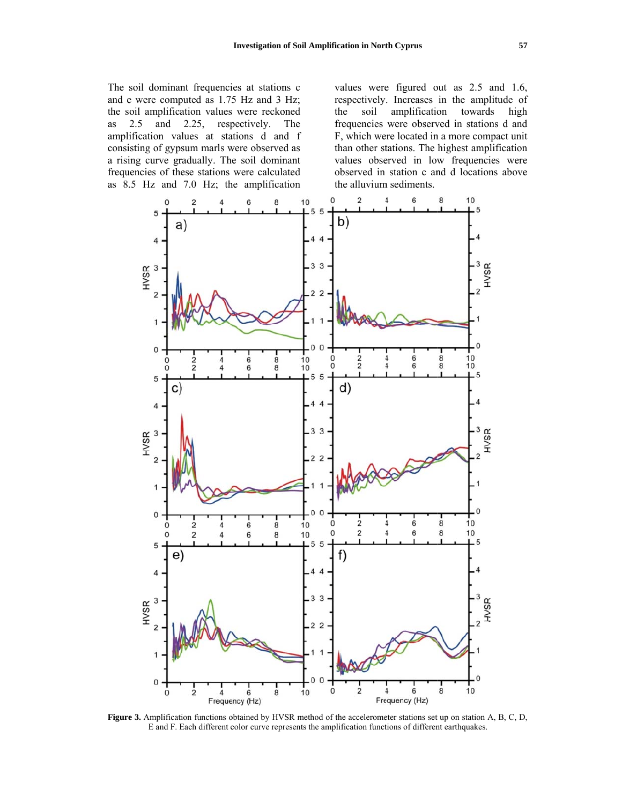The soil dominant frequencies at stations c and e were computed as 1.75 Hz and 3 Hz; the soil amplification values were reckoned and 2.25, respectively. as 2.5 The amplification values at stations d and f consisting of gypsum marls were observed as a rising curve gradually. The soil dominant frequencies of these stations were calculated as 8.5 Hz and 7.0 Hz; the amplification values were figured out as 2.5 and 1.6, respectively. Increases in the amplitude of amplification towards high the soil frequencies were observed in stations d and F, which were located in a more compact unit than other stations. The highest amplification values observed in low frequencies were observed in station c and d locations above the alluvium sediments.



Figure 3. Amplification functions obtained by HVSR method of the accelerometer stations set up on station A, B, C, D, E and F. Each different color curve represents the amplification functions of different earthquakes.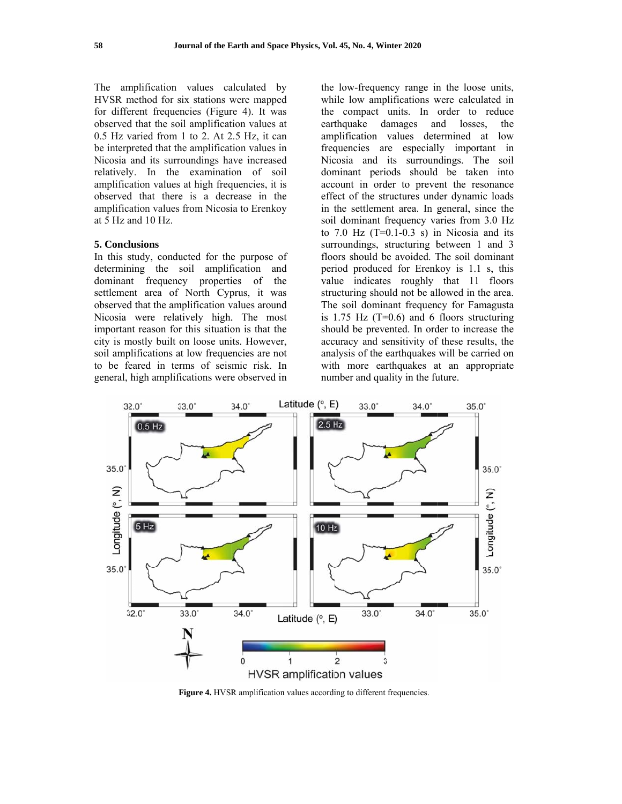The amplification values calculated by HVSR method for six stations were mapped for different frequencies (Figure 4). It was observed that the soil amplification values at 0.5 Hz varied from 1 to 2. At 2.5 Hz, it can be interpreted that the amplification values in Nicosia and its surroundings have increased relatively. In the examination of soil amplification values at high frequencies, it is observed that there is a decrease in the amplification values from Nicosia to Erenkoy at 5 Hz and 10 Hz.

### 5. Conclusions

In this study, conducted for the purpose of determining the soil amplification and dominant frequency properties of the settlement area of North Cyprus, it was observed that the amplification values around Nicosia were relatively high. The most important reason for this situation is that the city is mostly built on loose units. However, soil amplifications at low frequencies are not to be feared in terms of seismic risk. In general, high amplifications were observed in

the low-frequency range in the loose units, while low amplifications were calculated in the compact units. In order to reduce earthquake damages and losses, the amplification values determined at low frequencies are especially important in Nicosia and its surroundings. The soil dominant periods should be taken into account in order to prevent the resonance effect of the structures under dynamic loads in the settlement area. In general, since the soil dominant frequency varies from 3.0 Hz to 7.0 Hz  $(T=0.1-0.3 \text{ s})$  in Nicosia and its surroundings, structuring between 1 and 3 floors should be avoided. The soil dominant period produced for Erenkoy is 1.1 s, this value indicates roughly that 11 floors structuring should not be allowed in the area. The soil dominant frequency for Famagusta is 1.75 Hz  $(T=0.6)$  and 6 floors structuring should be prevented. In order to increase the accuracy and sensitivity of these results, the analysis of the earthquakes will be carried on with more earthquakes at an appropriate number and quality in the future.



Figure 4. HVSR amplification values according to different frequencies.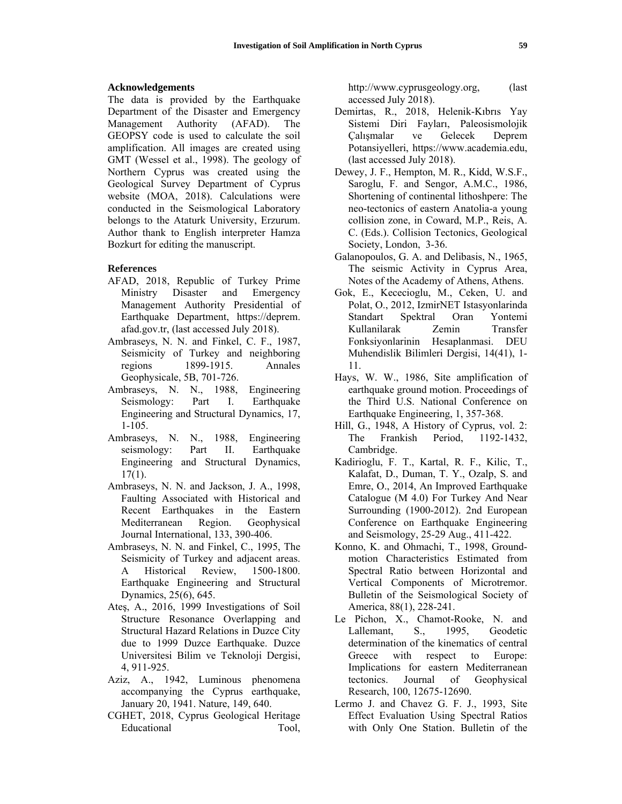#### **Acknowledgements**

The data is provided by the Earthquake Department of the Disaster and Emergency Management Authority (AFAD). The GEOPSY code is used to calculate the soil amplification. All images are created using GMT (Wessel et al., 1998). The geology of Northern Cyprus was created using the Geological Survey Department of Cyprus website (MOA, 2018). Calculations were conducted in the Seismological Laboratory belongs to the Ataturk University, Erzurum. Author thank to English interpreter Hamza Bozkurt for editing the manuscript.

### **References**

- AFAD, 2018, Republic of Turkey Prime Ministry Disaster and Emergency Management Authority Presidential of Earthquake Department, https://deprem. afad.gov.tr, (last accessed July 2018).
- Ambraseys, N. N. and Finkel, C. F., 1987, Seismicity of Turkey and neighboring regions 1899-1915. Annales Geophysicale, 5B, 701-726.
- Ambraseys, N. N., 1988, Engineering Seismology: Part I. Earthquake Engineering and Structural Dynamics, 17, 1-105.
- Ambraseys, N. N., 1988, Engineering seismology: Part II. Earthquake Engineering and Structural Dynamics, 17(1).
- Ambraseys, N. N. and Jackson, J. A., 1998, Faulting Associated with Historical and Recent Earthquakes in the Eastern Mediterranean Region. Geophysical Journal International, 133, 390-406.
- Ambraseys, N. N. and Finkel, C., 1995, The Seismicity of Turkey and adjacent areas. A Historical Review, 1500-1800. Earthquake Engineering and Structural Dynamics, 25(6), 645.
- Ateş, A., 2016, 1999 Investigations of Soil Structure Resonance Overlapping and Structural Hazard Relations in Duzce City due to 1999 Duzce Earthquake. Duzce Universitesi Bilim ve Teknoloji Dergisi, 4, 911-925.
- Aziz, A., 1942, Luminous phenomena accompanying the Cyprus earthquake, January 20, 1941. Nature, 149, 640.
- CGHET, 2018, Cyprus Geological Heritage Educational Tool,

http://www.cyprusgeology.org, (last accessed July 2018).

- Demirtas, R., 2018, Helenik-Kıbrıs Yay Sistemi Diri Fayları, Paleosismolojik Çalışmalar ve Gelecek Deprem Potansiyelleri, https://www.academia.edu, (last accessed July 2018).
- Dewey, J. F., Hempton, M. R., Kidd, W.S.F., Saroglu, F. and Sengor, A.M.C., 1986, Shortening of continental lithoshpere: The neo-tectonics of eastern Anatolia-a young collision zone, in Coward, M.P., Reis, A. C. (Eds.). Collision Tectonics, Geological Society, London, 3-36.
- Galanopoulos, G. A. and Delibasis, N., 1965, The seismic Activity in Cyprus Area, Notes of the Academy of Athens, Athens.
- Gok, E., Kececioglu, M., Ceken, U. and Polat, O., 2012, IzmirNET Istasyonlarinda Standart Spektral Oran Yontemi Kullanilarak Zemin Transfer Fonksiyonlarinin Hesaplanmasi. DEU Muhendislik Bilimleri Dergisi, 14(41), 1- 11.
- Hays, W. W., 1986, Site amplification of earthquake ground motion. Proceedings of the Third U.S. National Conference on Earthquake Engineering, 1, 357-368.
- Hill, G., 1948, A History of Cyprus, vol. 2: The Frankish Period, 1192-1432, Cambridge.
- Kadirioglu, F. T., Kartal, R. F., Kilic, T., Kalafat, D., Duman, T. Y., Ozalp, S. and Emre, O., 2014, An Improved Earthquake Catalogue (M 4.0) For Turkey And Near Surrounding (1900-2012). 2nd European Conference on Earthquake Engineering and Seismology, 25-29 Aug., 411-422.
- Konno, K. and Ohmachi, T., 1998, Groundmotion Characteristics Estimated from Spectral Ratio between Horizontal and Vertical Components of Microtremor. Bulletin of the Seismological Society of America, 88(1), 228-241.
- Le Pichon, X., Chamot-Rooke, N. and Lallemant, S., 1995, Geodetic determination of the kinematics of central Greece with respect to Europe: Implications for eastern Mediterranean tectonics. Journal of Geophysical Research, 100, 12675-12690.
- Lermo J. and Chavez G. F. J., 1993, Site Effect Evaluation Using Spectral Ratios with Only One Station. Bulletin of the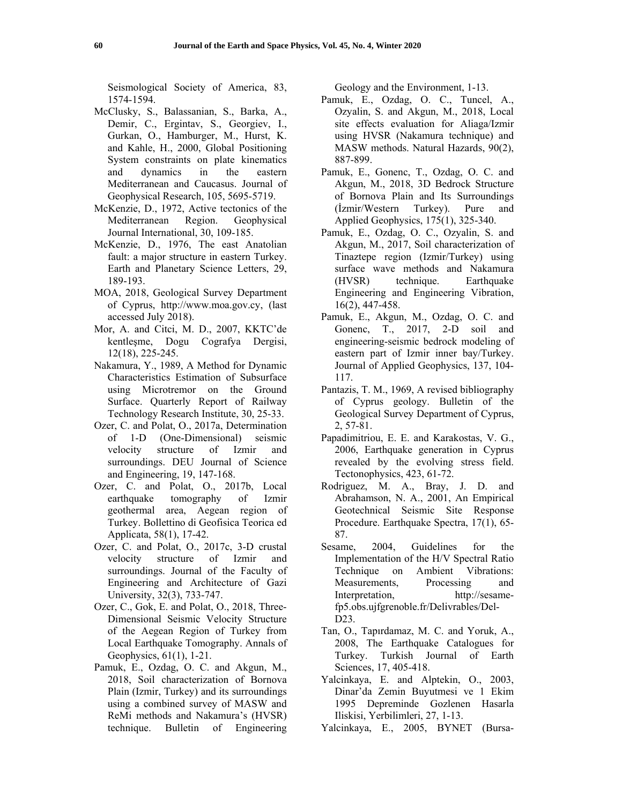Seismological Society of America, 83, 1574-1594.

- McClusky, S., Balassanian, S., Barka, A., Demir, C., Ergintav, S., Georgiev, I., Gurkan, O., Hamburger, M., Hurst, K. and Kahle, H., 2000, Global Positioning System constraints on plate kinematics and dynamics in the eastern Mediterranean and Caucasus. Journal of Geophysical Research, 105, 5695-5719.
- McKenzie, D., 1972, Active tectonics of the Mediterranean Region. Geophysical Journal International, 30, 109-185.
- McKenzie, D., 1976, The east Anatolian fault: a major structure in eastern Turkey. Earth and Planetary Science Letters, 29, 189-193.
- MOA, 2018, Geological Survey Department of Cyprus, http://www.moa.gov.cy, (last accessed July 2018).
- Mor, A. and Citci, M. D., 2007, KKTC'de kentleşme, Dogu Cografya Dergisi, 12(18), 225-245.
- Nakamura, Y., 1989, A Method for Dynamic Characteristics Estimation of Subsurface using Microtremor on the Ground Surface. Quarterly Report of Railway Technology Research Institute, 30, 25-33.
- Ozer, C. and Polat, O., 2017a, Determination of 1-D (One-Dimensional) seismic velocity structure of Izmir and surroundings. DEU Journal of Science and Engineering, 19, 147-168.
- Ozer, C. and Polat, O., 2017b, Local earthquake tomography of Izmir geothermal area, Aegean region of Turkey. Bollettino di Geofisica Teorica ed Applicata, 58(1), 17-42.
- Ozer, C. and Polat, O., 2017c, 3-D crustal velocity structure of Izmir and surroundings. Journal of the Faculty of Engineering and Architecture of Gazi University, 32(3), 733-747.
- Ozer, C., Gok, E. and Polat, O., 2018, Three-Dimensional Seismic Velocity Structure of the Aegean Region of Turkey from Local Earthquake Tomography. Annals of Geophysics, 61(1), 1-21.
- Pamuk, E., Ozdag, O. C. and Akgun, M., 2018, Soil characterization of Bornova Plain (Izmir, Turkey) and its surroundings using a combined survey of MASW and ReMi methods and Nakamura's (HVSR) technique. Bulletin of Engineering

Geology and the Environment, 1-13.

- Pamuk, E., Ozdag, O. C., Tuncel, A., Ozyalin, S. and Akgun, M., 2018, Local site effects evaluation for Aliaga/Izmir using HVSR (Nakamura technique) and MASW methods. Natural Hazards, 90(2), 887-899.
- Pamuk, E., Gonenc, T., Ozdag, O. C. and Akgun, M., 2018, 3D Bedrock Structure of Bornova Plain and Its Surroundings (İzmir/Western Turkey). Pure and Applied Geophysics, 175(1), 325-340.
- Pamuk, E., Ozdag, O. C., Ozyalin, S. and Akgun, M., 2017, Soil characterization of Tinaztepe region (Izmir/Turkey) using surface wave methods and Nakamura (HVSR) technique. Earthquake Engineering and Engineering Vibration, 16(2), 447-458.
- Pamuk, E., Akgun, M., Ozdag, O. C. and Gonenc, T., 2017, 2-D soil and engineering-seismic bedrock modeling of eastern part of Izmir inner bay/Turkey. Journal of Applied Geophysics, 137, 104- 117.
- Pantazis, T. M., 1969, A revised bibliography of Cyprus geology. Bulletin of the Geological Survey Department of Cyprus, 2, 57-81.
- Papadimitriou, E. E. and Karakostas, V. G., 2006, Earthquake generation in Cyprus revealed by the evolving stress field. Tectonophysics, 423, 61-72.
- Rodriguez, M. A., Bray, J. D. and Abrahamson, N. A., 2001, An Empirical Geotechnical Seismic Site Response Procedure. Earthquake Spectra, 17(1), 65- 87.
- Sesame, 2004, Guidelines for the Implementation of the H/V Spectral Ratio Technique on Ambient Vibrations: Measurements, Processing and Interpretation, http://sesamefp5.obs.ujfgrenoble.fr/Delivrables/Del-D23.
- Tan, O., Tapırdamaz, M. C. and Yoruk, A., 2008, The Earthquake Catalogues for Turkey. Turkish Journal of Earth Sciences, 17, 405-418.
- Yalcinkaya, E. and Alptekin, O., 2003, Dinar'da Zemin Buyutmesi ve 1 Ekim 1995 Depreminde Gozlenen Hasarla Iliskisi, Yerbilimleri, 27, 1-13.
- Yalcinkaya, E., 2005, BYNET (Bursa-